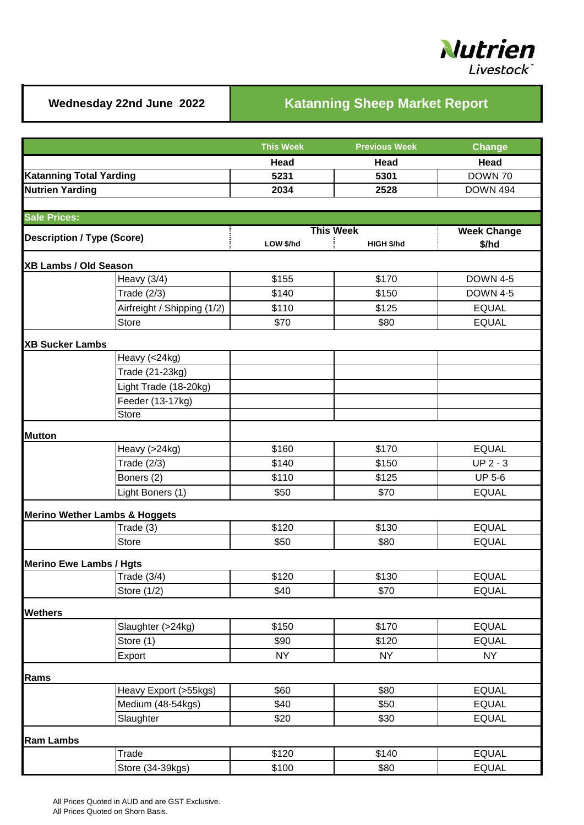

## Wednesday 22nd June 2022 **Katanning Sheep Market Report**

|                                   |                             | <b>This Week</b>                            | <b>Previous Week</b> | <b>Change</b>               |  |
|-----------------------------------|-----------------------------|---------------------------------------------|----------------------|-----------------------------|--|
|                                   |                             | Head                                        | Head                 | Head                        |  |
| <b>Katanning Total Yarding</b>    |                             | 5231                                        | 5301                 | DOWN 70                     |  |
| <b>Nutrien Yarding</b>            |                             | 2034                                        | 2528                 | <b>DOWN 494</b>             |  |
|                                   |                             |                                             |                      |                             |  |
| <b>Sale Prices:</b>               |                             |                                             |                      |                             |  |
| <b>Description / Type (Score)</b> |                             | <b>This Week</b><br>LOW \$/hd<br>HIGH \$/hd |                      | <b>Week Change</b><br>\$/hd |  |
|                                   |                             |                                             |                      |                             |  |
| XB Lambs / Old Season             |                             |                                             |                      |                             |  |
|                                   | Heavy $(3/4)$               | \$155                                       | \$170                | <b>DOWN 4-5</b>             |  |
|                                   | Trade (2/3)                 | \$140                                       | \$150                | <b>DOWN 4-5</b>             |  |
|                                   | Airfreight / Shipping (1/2) | \$110                                       | \$125                | <b>EQUAL</b>                |  |
|                                   | <b>Store</b>                | \$70                                        | \$80                 | <b>EQUAL</b>                |  |
| <b>XB Sucker Lambs</b>            |                             |                                             |                      |                             |  |
|                                   | Heavy (<24kg)               |                                             |                      |                             |  |
|                                   | Trade (21-23kg)             |                                             |                      |                             |  |
|                                   | Light Trade (18-20kg)       |                                             |                      |                             |  |
|                                   | Feeder (13-17kg)            |                                             |                      |                             |  |
|                                   | Store                       |                                             |                      |                             |  |
| <b>Mutton</b>                     |                             |                                             |                      |                             |  |
|                                   | Heavy (>24kg)               | \$160                                       | \$170                | <b>EQUAL</b>                |  |
|                                   | Trade (2/3)                 | \$140                                       | \$150                | $UP 2 - 3$                  |  |
|                                   | Boners (2)                  | \$110                                       | \$125                | <b>UP 5-6</b>               |  |
|                                   | Light Boners (1)            | \$50                                        | \$70                 | <b>EQUAL</b>                |  |
| Merino Wether Lambs & Hoggets     |                             |                                             |                      |                             |  |
|                                   | Trade (3)                   | \$120                                       | \$130                | <b>EQUAL</b>                |  |
|                                   | <b>Store</b>                | \$50                                        | \$80                 | <b>EQUAL</b>                |  |
|                                   |                             |                                             |                      |                             |  |
| <b>Merino Ewe Lambs / Hgts</b>    | Trade $(3/4)$               | \$120                                       | \$130                | <b>EQUAL</b>                |  |
|                                   | Store (1/2)                 | \$40                                        | \$70                 | <b>EQUAL</b>                |  |
|                                   |                             |                                             |                      |                             |  |
| <b>Wethers</b>                    | Slaughter (>24kg)           | \$150                                       | \$170                | <b>EQUAL</b>                |  |
|                                   | Store (1)                   | \$90                                        | \$120                | <b>EQUAL</b>                |  |
|                                   | Export                      | <b>NY</b>                                   | <b>NY</b>            | <b>NY</b>                   |  |
|                                   |                             |                                             |                      |                             |  |
| Rams                              |                             |                                             |                      |                             |  |
|                                   | Heavy Export (>55kgs)       | \$60                                        | \$80                 | <b>EQUAL</b>                |  |
|                                   | Medium (48-54kgs)           | \$40                                        | \$50                 | <b>EQUAL</b>                |  |
|                                   | Slaughter                   | \$20                                        | \$30                 | <b>EQUAL</b>                |  |
| <b>Ram Lambs</b>                  |                             |                                             |                      |                             |  |
|                                   | Trade                       | \$120                                       | \$140                | <b>EQUAL</b>                |  |
|                                   | Store (34-39kgs)            | \$100                                       | \$80                 | <b>EQUAL</b>                |  |